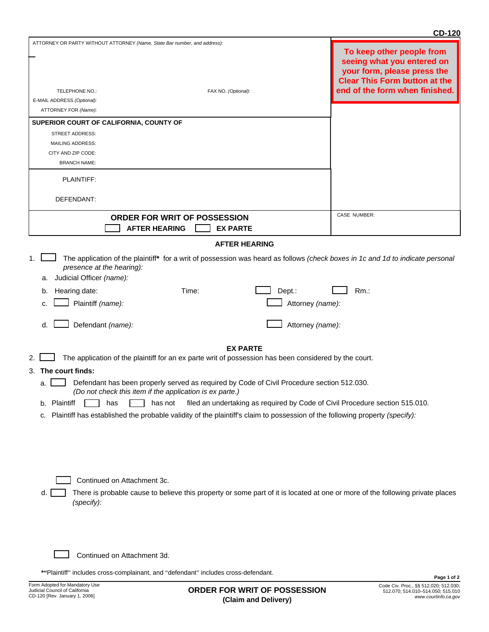|                                                                                                                                                              |                                                                                                                                                                                                                                             | <b>CD-120</b>                                                                                                                                                    |  |  |  |  |
|--------------------------------------------------------------------------------------------------------------------------------------------------------------|---------------------------------------------------------------------------------------------------------------------------------------------------------------------------------------------------------------------------------------------|------------------------------------------------------------------------------------------------------------------------------------------------------------------|--|--|--|--|
| TELEPHONE NO.:<br>E-MAIL ADDRESS (Optional):                                                                                                                 | ATTORNEY OR PARTY WITHOUT ATTORNEY (Name, State Bar number, and address):<br>FAX NO. (Optional):                                                                                                                                            | To keep other people from<br>seeing what you entered on<br>your form, please press the<br><b>Clear This Form button at the</b><br>end of the form when finished. |  |  |  |  |
| ATTORNEY FOR (Name):                                                                                                                                         |                                                                                                                                                                                                                                             |                                                                                                                                                                  |  |  |  |  |
|                                                                                                                                                              | SUPERIOR COURT OF CALIFORNIA, COUNTY OF                                                                                                                                                                                                     |                                                                                                                                                                  |  |  |  |  |
| <b>STREET ADDRESS:</b>                                                                                                                                       |                                                                                                                                                                                                                                             |                                                                                                                                                                  |  |  |  |  |
| <b>MAILING ADDRESS:</b>                                                                                                                                      |                                                                                                                                                                                                                                             |                                                                                                                                                                  |  |  |  |  |
| CITY AND ZIP CODE:                                                                                                                                           |                                                                                                                                                                                                                                             |                                                                                                                                                                  |  |  |  |  |
| <b>BRANCH NAME:</b>                                                                                                                                          |                                                                                                                                                                                                                                             |                                                                                                                                                                  |  |  |  |  |
| PLAINTIFF:                                                                                                                                                   |                                                                                                                                                                                                                                             |                                                                                                                                                                  |  |  |  |  |
| DEFENDANT:                                                                                                                                                   |                                                                                                                                                                                                                                             |                                                                                                                                                                  |  |  |  |  |
|                                                                                                                                                              | ORDER FOR WRIT OF POSSESSION                                                                                                                                                                                                                | CASE NUMBER:                                                                                                                                                     |  |  |  |  |
|                                                                                                                                                              | <b>AFTER HEARING</b><br><b>EX PARTE</b>                                                                                                                                                                                                     |                                                                                                                                                                  |  |  |  |  |
|                                                                                                                                                              | <b>AFTER HEARING</b>                                                                                                                                                                                                                        |                                                                                                                                                                  |  |  |  |  |
| 1.<br>Judicial Officer (name):<br>а.<br>Hearing date:<br>b.<br>Plaintiff (name):<br>C.<br>d.                                                                 | The application of the plaintiff* for a writ of possession was heard as follows (check boxes in 1c and 1d to indicate personal<br>presence at the hearing):<br>Time:<br>Dept.:<br>Attorney (name):<br>Defendant (name):<br>Attorney (name): | $Rm$ .:                                                                                                                                                          |  |  |  |  |
|                                                                                                                                                              |                                                                                                                                                                                                                                             |                                                                                                                                                                  |  |  |  |  |
|                                                                                                                                                              | <b>EX PARTE</b>                                                                                                                                                                                                                             |                                                                                                                                                                  |  |  |  |  |
|                                                                                                                                                              | The application of the plaintiff for an ex parte writ of possession has been considered by the court.                                                                                                                                       |                                                                                                                                                                  |  |  |  |  |
| 3. The court finds:                                                                                                                                          |                                                                                                                                                                                                                                             |                                                                                                                                                                  |  |  |  |  |
| Defendant has been properly served as required by Code of Civil Procedure section 512.030.<br>а.<br>(Do not check this item if the application is ex parte.) |                                                                                                                                                                                                                                             |                                                                                                                                                                  |  |  |  |  |
| Plaintiff<br>filed an undertaking as required by Code of Civil Procedure section 515.010.<br>has<br>has not<br>b.                                            |                                                                                                                                                                                                                                             |                                                                                                                                                                  |  |  |  |  |
| Plaintiff has established the probable validity of the plaintiff's claim to possession of the following property (specify):<br>c.                            |                                                                                                                                                                                                                                             |                                                                                                                                                                  |  |  |  |  |
| d.                                                                                                                                                           | Continued on Attachment 3c.<br>There is probable cause to believe this property or some part of it is located at one or more of the following private places                                                                                |                                                                                                                                                                  |  |  |  |  |
| (specify):                                                                                                                                                   |                                                                                                                                                                                                                                             |                                                                                                                                                                  |  |  |  |  |

Continued on Attachment 3d.

**\*"**Plaintiff" includes cross-complainant, and "defendant" includes cross-defendant.

 $\Box$